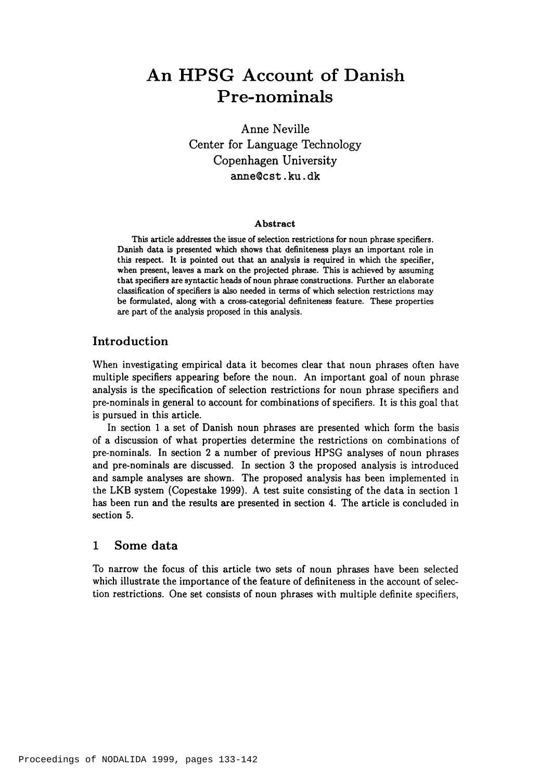# An HPSG Account of Danish **Pre-nom inals**

Anne Neville Center for Language Technology Copenhagen University anne@cst.ku.dk

#### **Abstract**

This article addresses the issue of selection restrictions for noun phrase specifiers. Danish data is presented which shows that definiteness plays an important role in this respect. It is pointed out that an analysis is required in which the specifier, when present, leaves a mark on the projected phrase. This is achieved by assuming that specifiers are syntactic heads of noun phrase constructions. Further an elaborate classification of specifiers is also needed in terms of which selection restrictions may be formulated, along with a cross-categorial definiteness feature. These properties are part of the analysis proposed in this analysis.

#### **Introduction**

When investigating empirical data it becomes clear that noun phrases often have multiple specifiers appearing before the noun. An important goal of noun phrase analysis is the specification of selection restrictions for noun phrase specifiers and pre-nominals in general to account for combinations of specifiers. It is this goal that is pursued in this article.

In section 1 a set of Danish noun phrases are presented which form the basis of a discussion of what properties determine the restrictions on combinations of pre-nominals. In section 2 a number of previous HPSG analyses of noun phrases and pre-nominals are discussed. In section 3 the proposed analysis is introduced and sample analyses are shown. The proposed analysis has been implemented in the LKB system (Copestake 1999). A test suite consisting of the data in section 1 has been run and the results are presented in section 4. The article is concluded in section 5.

## **1 Some data**

To narrow the focus of this article two sets of noun phrases have been selected which illustrate the importance of the feature of definiteness in the account of selection restrictions. One set consists of noun phrases with multiple definite specifiers,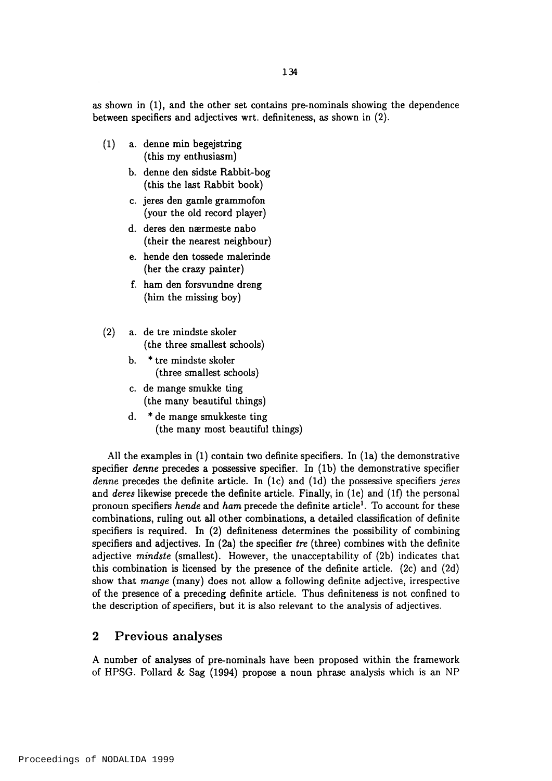as shown in (1), and the other set contains pre-nominals showing the dependence between specifiers and adjectives wrt. definiteness, as shown in (2).

- (1) a. denne min begejstring (this my enthusiasm)
	- b. denne den sidste Rabbit-bog (this the last Rabbit book)
	- c. jeres den gamle grammofon (your the old record player)
	- d. deres den nærmeste nabo (their the nearest neighbour)
	- e. hende den tossede malerinde (her the crazy painter)
	- f. ham den forsvundne dreng (him the missing boy)
- (2) a. de tre mindste skoler (the three smallest schools)
	- b. \* tre mindste skoler (three smallest schools)
	- c. de mange smukke ting (the many beautiful things)
	- d. \* de mange smukkeste ting (the many most beautiful things)

All the examples in (1) contain two definite specifiers. In (la) the demonstrative specifier *denne* precedes a possessive specifier. In (lb) the demonstrative specifier *define* precedes the definite article. In (Ic) and (Id) the possessive specifiers *jeres* and *deres* likewise precede the definite article. Finally, in (le) and (If) the personal pronoun specifiers *hende* and *ham* precede the definite article<sup>1</sup>. To account for these combinations, ruling out all other combinations, a detailed classification of definite specifiers is required. In (2) definiteness determines the possibility of combining specifiers and adjectives. In (2a) the specifier *tre* (three) combines with the definite adjective *mindste* (smallest). However, the unacceptability of (2b) indicates that this combination is licensed by the presence of the definite article. (2c) and (2d) show that *mange* (many) does not allow a following definite adjective, irrespective of the presence of a preceding definite article. Thus definiteness is not confined to the description of specifiers, but it is also relevant to the analysis of adjectives.

## **2 Previous analyses**

A number of analyses of pre-nominals have been proposed within the framework of HPSG. Pollard & Sag (1994) propose a noun phrase analysis which is an NP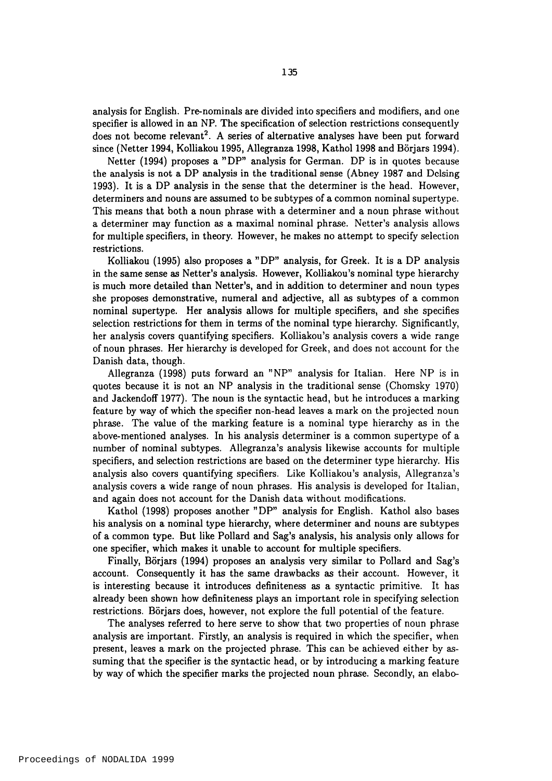analysis for English. Pre-nominals are divided into specifiers and modifiers, and one specifier is allowed in an NP. The specification of selection restrictions consequently does not become relevant<sup>2</sup>. A series of alternative analyses have been put forward since (Netter 1994, Kolliakou 1995, Allegranza 1998, Kathol 1998 and Börjars 1994).

Netter (1994) proposes a "DP" analysis for German. DP is in quotes because the analysis is not a DP analysis in the traditional sense (Abney 1987 and Dclsing 1993). It is a DP analysis in the sense that the determiner is the head. However, determiners and nouns are assumed to be subtypes of a common nominal supertype. This means that both a noun phrase with a determiner and a noun phrase without a determiner may function as a maximal nominal phrase. Netter's analysis allows for multiple specifiers, in theory. However, he makes no attempt to specify selection restrictions.

Kolliakou (1995) also proposes a "DP" analysis, for Greek. It is a DP analysis in the same sense as Netter's analysis. However, Kolliakou's nominal type hierarchy is much more detailed than Netter's, and in addition to determiner and noun types she proposes demonstrative, numeral and adjective, all as subtypes of a common nominal supertype. Her analysis allows for multiple specifiers, and she specifies selection restrictions for them in terms of the nominal type hierarchy. Significantly, her analysis covers quantifying specifiers. Kolliakou's analysis covers a wide range of noun phrases. Her hierarchy is developed for Greek, and does not account for the Danish data, though.

Allegranza (1998) puts forward an "NP" analysis for Italian. Here NP is in quotes because it is not an NP analysis in the traditional sense (Chomsky 1970) and Jackendoff 1977). The noun is the syntactic head, but he introduces a marking feature by way of which the specifier non-head leaves a mark on the projected noun phrase. The value of the marking feature is a nominal type hierarchy as in the above-mentioned analyses. In his analysis determiner is a common supertype of a number of nominal subtypes. Allegranza's analysis likewise accounts for multiple specifiers, and selection restrictions are based on the determiner type hierarchy. His analysis also covers quantifying specifiers. Like Kolliakou's analysis, Allegranza's analysis covers a wide range of noun phrases. His analysis is developed for Italian, and again does not account for the Danish data without modifications.

Kathol (1998) proposes another "DP" analysis for English. Kathol also bases his analysis on a nominal type hierarchy, where determiner and nouns are subtypes of a common type. But like Pollard and Sag's analysis, his analysis only allows for one specifier, which makes it unable to account for multiple specifiers.

Finally, Börjars (1994) proposes an analysis very similar to Pollard and Sag's account. Consequently it has the same drawbacks as their account. However, it is interesting because it introduces definiteness as a syntactic primitive. It has already been shown how definiteness plays an important role in specifying selection restrictions. Borjars does, however, not explore the full potential of the feature.

The analyses referred to here serve to show that two properties of noun phrase analysis are important. Firstly, an analysis is required in which the specifier, when present, leaves a mark on the projected phrase. This can be achieved either by assuming that the specifier is the syntactic head, or by introducing a marking feature by way of which the specifier marks the projected noun phrase. Secondly, an elabo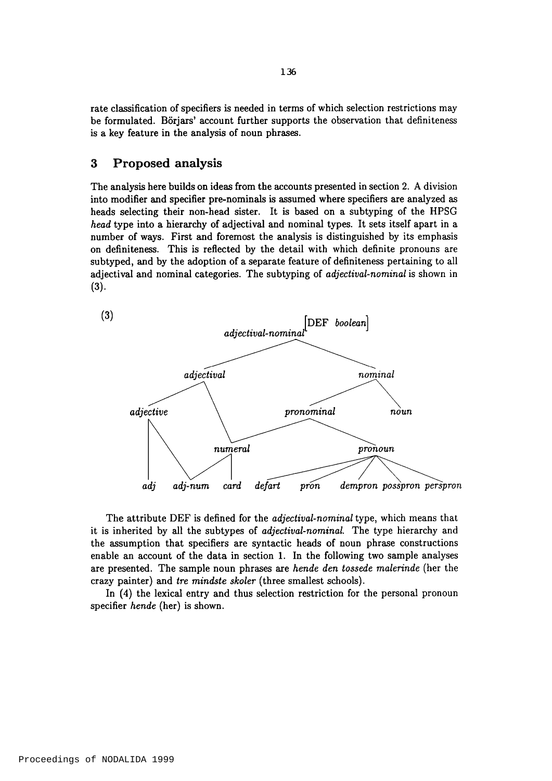rate classification of specifiers is needed in terms of which selection restrictions may be formulated. Börjars' account further supports the observation that definiteness is a key feature in the analysis of noun phrases.

#### **3 Proposed analysis**

The analysis here builds on ideas from the accounts presented in section 2. A division into modifier and specifier pre-nominals is assumed where specifiers are analyzed as heads selecting their non-head sister. It is based on a subtyping of the HPSG *head* type into a hierarchy of adjectival and nominal types. It sets itself apart in a number of ways. First and foremost the analysis is distinguished by its emphasis on definiteness. This is reflected by the detail with which definite pronouns are subtyped, and by the adoption of a separate feature of definiteness pertaining to all adjectival and nominal categories. The subtyping of *adjectival-nominal* is shown in  $(3).$ 



The attribute DEF is defined for the *adjectival-nominal* type, which means that it is inherited by all the subtypes of *adjectival-nominal.* The type hierarchy and the assumption that specifiers are syntactic heads of noun phrase constructions enable an account of the data in section 1. In the following two sample analyses are presented. The sample noun phrases are *hende den tossede malerinde* (her the crazy painter) and *tre mindste skoler* (three smallest schools).

In (4) the lexical entry and thus selection restriction for the personal pronoun specifier *hende* (her) is shown.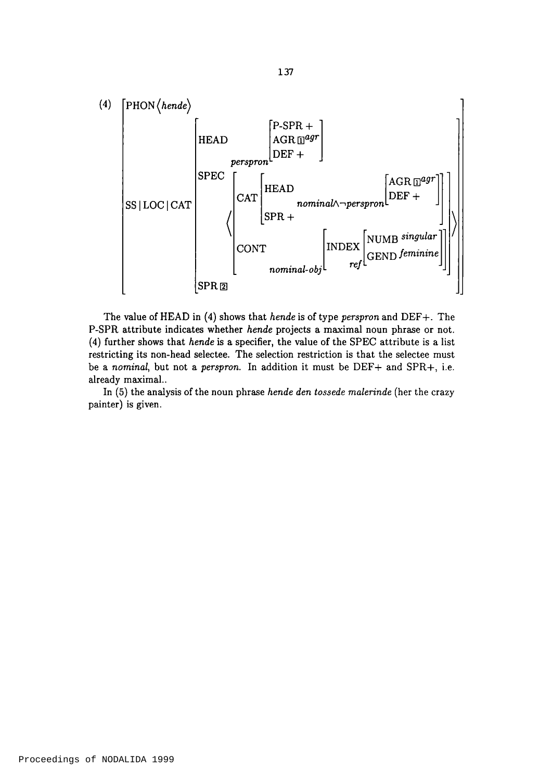

The value of HEAD in (4) shows that *hende* is of type *perspron* and DEF+. The P-SPR attribute indicates whether *hende* projects a maximal noun phrase or not. (4) further shows that *hende* is a specifier, the value of the SPEC attribute is a list restricting its non-head selectee. The selection restriction is that the selectee must be a *nominal*, but not a *perspron*. In addition it must be DEF+ and SPR+, i.e. already maximal..

In (5) the analysis of the noun phrase *hende den tossede malerinde* (her the crazy painter) is given.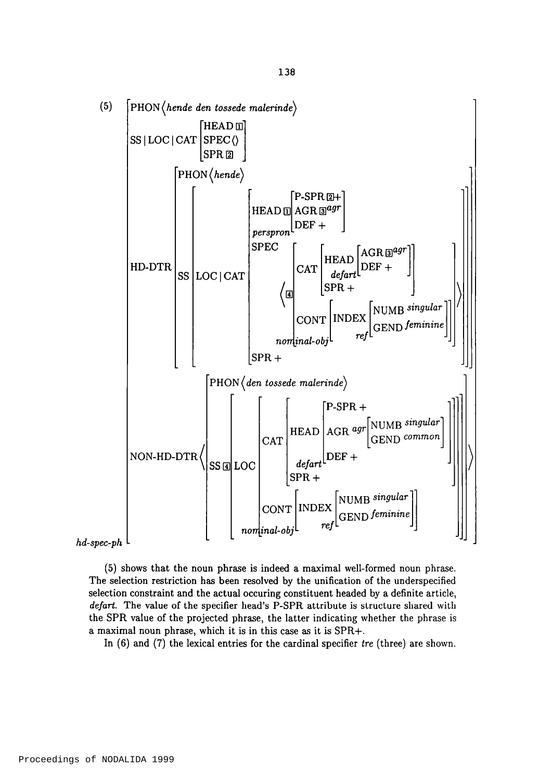

*hd-spec-ph*

(5) shows that the noun phrase is indeed a maximal well-formed noun phrase. The selection restriction has been resolved by the unification of the underspecified selection constraint and the actual occuring constituent headed by a definite article, *defart.* The value of the specifier head's P-SPR attribute is structure shared with the SPR value of the projected phrase, the latter indicating whether the phrase is a maximal noun phrase, which it is in this case as it is SPR+.

In (6) and (7) the lexical entries for the cardinal specifier *tre* (three) are shown.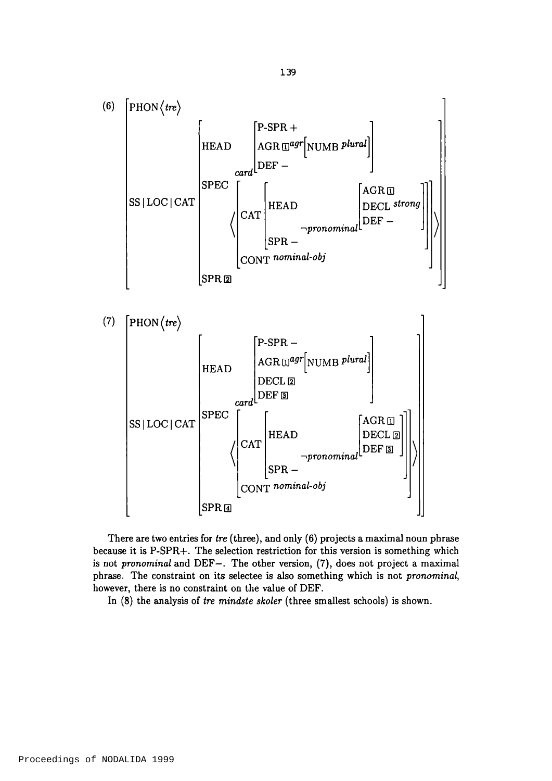

There are two entries for *tre* (three), and only (6) projects a maximal noun phrase because it is P-SPR+. The selection restriction for this version is something which is not *pronominal* and DEF—. The other version, (7), does not project a maximal phrase. The constraint on its selectee is also something which is not *pronominal,* however, there is no constraint on the value of DEF.

In (8) the analysis of *tre mindste skoler* (three smallest schools) is shown.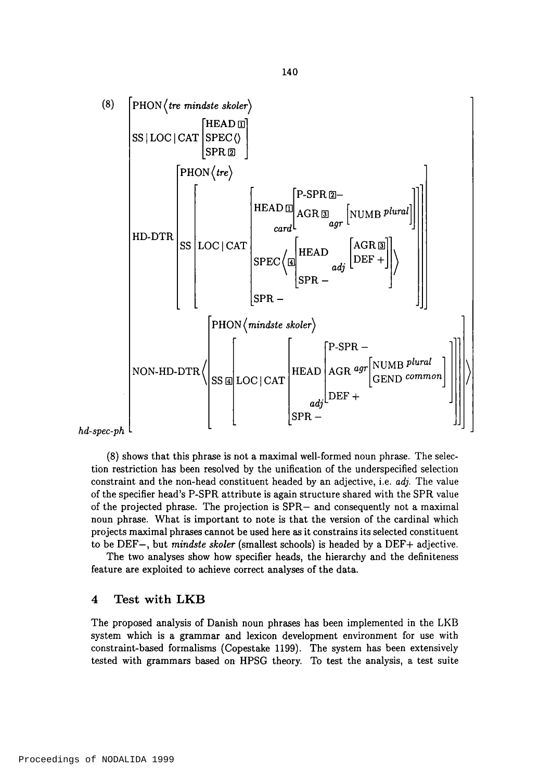

 $hd$ -spec-ph

(8) shows that this phrase is not a maximal well-formed noun phrase. The selection restriction has been resolved by the unification of the underspecified selection constraint and the non-head constituent headed by an adjective, i.e. *adj.* The value of the specifier head's P-SPR attribute is again structure shared with the SPR value of the projected phrase. The projection is SPR— and consequently not a maximal noun phrase. What is important to note is that the version of the cardinal which projects maximal phrases cannot be used here as it constrains its selected constituent to be DEF-, but *mindste skoler* (smallest schools) is headed by a DEF+ adjective.

The two analyses show how specifier heads, the hierarchy and the definiteness feature are exploited to achieve correct analyses of the data.

#### **4 Test w ith LKB**

The proposed analysis of Danish noun phrases has been implemented in the LKB system which is a grammar and lexicon development environment for use with constraint-based formalisms (Copestake 1199). The system has been extensively tested with grammars based on HPSG theory. To test the analysis, a test suite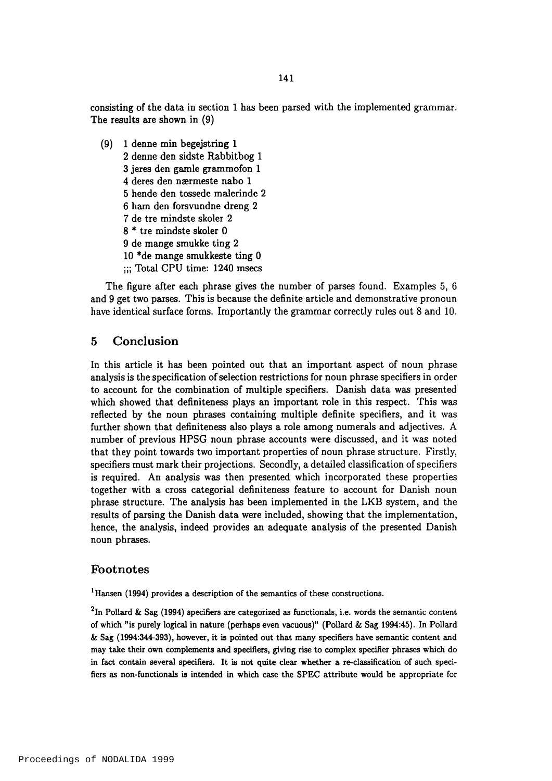consisting of the data in section 1 has been parsed with the implemented grammar. The results are shown in (9)

(9) 1 denne min begejstring 1 2 denne den sidste Rabbitbog 1 3 jeres den gamle grammofon 1 4 deres den nærmeste nabo 1 5 hende den tossede malerinde 2 6 ham den forsvundne dreng 2 7 de tre mindste skoler 2 8 \* tre mindste skoler 0 9 de mange smukke ting 2 10 \*de mange smukkeste ting 0 ;;; Total CPU time: 1240 msecs

The figure after each phrase gives the number of parses found. Examples 5, 6 and 9 get two parses. This is because the definite article and demonstrative pronoun have identical surface forms. Importantly the grammar correctly rules out 8 and 10.

#### **5 Conclusion**

In this article it has been pointed out that an important aspect of noun phrase analysis is the specification of selection restrictions for noun phrase specifiers in order to account for the combination of multiple specifiers. Danish data was presented which showed that definiteness plays an important role in this respect. This was reflected by the noun phrases containing multiple definite specifiers, and it was further shown that definiteness also plays a role among numerals and adjectives. A number of previous HPSG noun phrase accounts were discussed, and it was noted that they point towards two important properties of noun phrase structure. Firstly, specifiers must mark their projections. Secondly, a detailed classification of specifiers is required. An analysis was then presented which incorporated these properties together with a cross categorial definiteness feature to account for Danish noun phrase structure. The analysis has been implemented in the LKB system, and the results of parsing the Danish data were included, showing that the implementation, hence, the analysis, indeed provides an adequate analysis of the presented Danish noun phrases.

#### **Footnotes**

<sup>1</sup> Hansen (1994) provides a description of the semantics of these constructions.

<sup>2</sup>In Pollard & Sag (1994) specifiers are categorized as functionals, i.e. words the semantic content of which "is purely logical in nature (perhaps even vacuous)" (Pollard & Sag 1994:45). In Pollard & Sag (1994:344-393), however, it is pointed out that many specifiers have semantic content and may take their own complements and specifiers, giving rise to complex specifier phrases which do in fact contain several specifiers. It is not quite clear whether a re-classification of such specifiers as non-functionals is intended in which case the SPEC attribute would be appropriate for